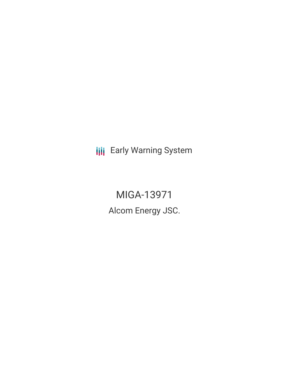**III** Early Warning System

MIGA-13971 Alcom Energy JSC.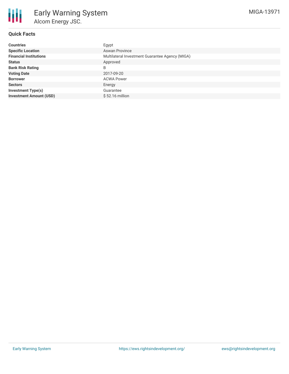

# **Quick Facts**

| <b>Countries</b>               | Egypt                                           |
|--------------------------------|-------------------------------------------------|
| <b>Specific Location</b>       | <b>Aswan Province</b>                           |
| <b>Financial Institutions</b>  | Multilateral Investment Guarantee Agency (MIGA) |
| <b>Status</b>                  | Approved                                        |
| <b>Bank Risk Rating</b>        | B                                               |
| <b>Voting Date</b>             | 2017-09-20                                      |
| <b>Borrower</b>                | <b>ACWA Power</b>                               |
| <b>Sectors</b>                 | Energy                                          |
| Investment Type(s)             | Guarantee                                       |
| <b>Investment Amount (USD)</b> | \$52.16 million                                 |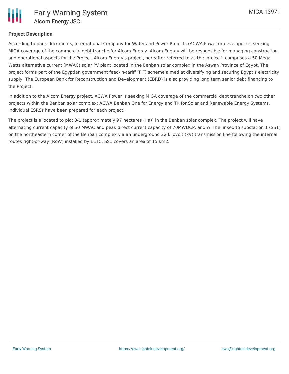

# **Project Description**

According to bank documents, International Company for Water and Power Projects (ACWA Power or developer) is seeking MIGA coverage of the commercial debt tranche for Alcom Energy. Alcom Energy will be responsible for managing construction and operational aspects for the Project. Alcom Energy's project, hereafter referred to as the 'project', comprises a 50 Mega Watts alternative current (MWAC) solar PV plant located in the Benban solar complex in the Aswan Province of Egypt. The project forms part of the Egyptian government feed-in-tariff (FiT) scheme aimed at diversifying and securing Egypt's electricity supply. The European Bank for Reconstruction and Development (EBRD) is also providing long term senior debt financing to the Project.

In addition to the Alcom Energy project, ACWA Power is seeking MIGA coverage of the commercial debt tranche on two other projects within the Benban solar complex: ACWA Benban One for Energy and TK for Solar and Renewable Energy Systems. Individual ESRSs have been prepared for each project.

The project is allocated to plot 3-1 (approximately 97 hectares (Ha)) in the Benban solar complex. The project will have alternating current capacity of 50 MWAC and peak direct current capacity of 70MWDCP, and will be linked to substation 1 (SS1) on the northeastern corner of the Benban complex via an underground 22 kilovolt (kV) transmission line following the internal routes right-of-way (RoW) installed by EETC. SS1 covers an area of 15 km2.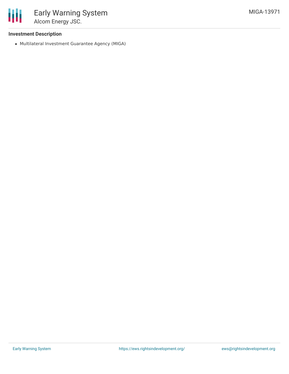

### **Investment Description**

Multilateral Investment Guarantee Agency (MIGA)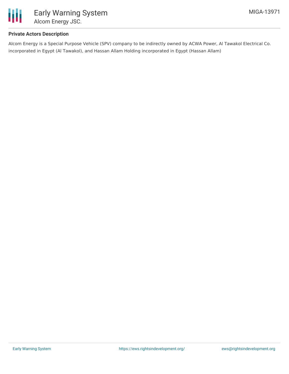

### **Private Actors Description**

Alcom Energy is a Special Purpose Vehicle (SPV) company to be indirectly owned by ACWA Power, Al Tawakol Electrical Co. incorporated in Egypt (Al Tawakol), and Hassan Allam Holding incorporated in Egypt (Hassan Allam)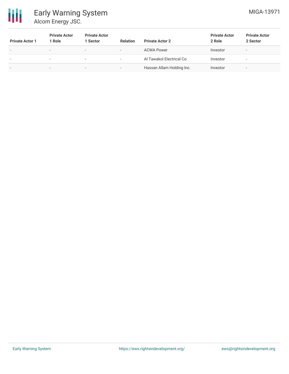

# Early Warning System Alcom Energy JSC.

| <b>Private Actor 1</b>   | <b>Private Actor</b><br>1 Role | <b>Private Actor</b><br>1 Sector | <b>Relation</b>          | <b>Private Actor 2</b>    | <b>Private Actor</b><br>2 Role | <b>Private Actor</b><br>2 Sector |
|--------------------------|--------------------------------|----------------------------------|--------------------------|---------------------------|--------------------------------|----------------------------------|
| $\overline{\phantom{a}}$ | $\overline{\phantom{a}}$       | $\overline{\phantom{a}}$         | $\overline{\phantom{a}}$ | <b>ACWA Power</b>         | Investor                       | $\overline{\phantom{a}}$         |
| $\overline{\phantom{a}}$ | $\overline{\phantom{a}}$       | $\overline{\phantom{0}}$         | $\overline{\phantom{a}}$ | Al Tawakol Electrical Co. | Investor                       | $\overline{\phantom{a}}$         |
| $\overline{\phantom{a}}$ | -                              | $\sim$                           |                          | Hassan Allam Holding Inc. | Investor                       | $\overline{\phantom{a}}$         |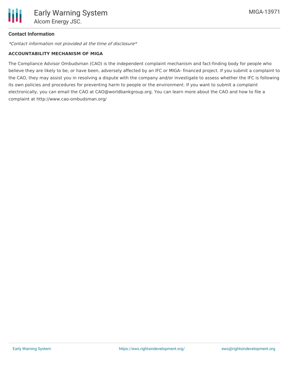

# **Contact Information**

\*Contact information not provided at the time of disclosure\*

#### **ACCOUNTABILITY MECHANISM OF MIGA**

The Compliance Advisor Ombudsman (CAO) is the independent complaint mechanism and fact-finding body for people who believe they are likely to be, or have been, adversely affected by an IFC or MIGA- financed project. If you submit a complaint to the CAO, they may assist you in resolving a dispute with the company and/or investigate to assess whether the IFC is following its own policies and procedures for preventing harm to people or the environment. If you want to submit a complaint electronically, you can email the CAO at CAO@worldbankgroup.org. You can learn more about the CAO and how to file a complaint at http://www.cao-ombudsman.org/